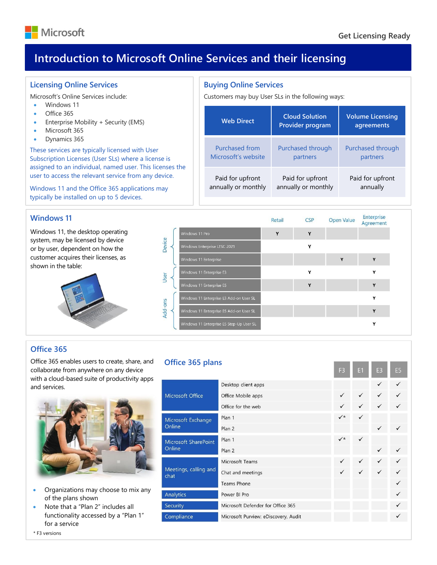

**Volume Licensing agreements**

Purchased through partners

Paid for upfront annually

Enternrice

# **Introduction to Microsoft Online Services and their licensing**

**Office 365 plans**

Mio

Mio Onl

Mio Onl

Me cha

Ana Sec Cor

**Buying Online Services**

Purchased from Microsoft's website

Paid for upfront annually or monthly

Customers may buy User SLs in the following ways:

**Web Direct Cloud Solution** 

**Provider program**

Purchased through partners

Paid for upfront annually or monthly

# **Licensing Online Services**

Microsoft's Online Services include:

- Windows 11
- Office 365
- Enterprise Mobility + Security (EMS)
- Microsoft 365
- Dynamics 365

These services are typically licensed with User Subscription Licenses (User SLs) where a license is assigned to an individual, named user. This licenses the user to access the relevant service from any device.

Windows 11 and the Office 365 applications may typically be installed on up to 5 devices.

# **Windows 11**

Windows 11, the desktop operating system, may be licensed by device or by user, dependent on how the customer acquires their licenses, as shown in the table:



|             |                                          | Retail | <b>CSP</b>   | Open Value | <b>FILLEL NUMP</b><br>Agreement |
|-------------|------------------------------------------|--------|--------------|------------|---------------------------------|
|             | Windows 11 Pro                           | Y      | $\mathbf{v}$ |            |                                 |
| Device      | Windows Enterprise LTSC 2021             |        | Y            |            |                                 |
|             | Windows 11 Enterprise                    |        |              | v          | v                               |
| <b>Jser</b> | Windows 11 Enterprise E3                 |        |              |            | ۷                               |
|             | Windows 11 Enterprise E5                 |        | v            |            | v                               |
|             | Windows 11 Enterprise E3 Add-on User SL  |        |              |            | ٧                               |
| Add-ons     | Windows 11 Enterprise E5 Add-on User SL  |        |              |            | v                               |
|             | Windows 11 Enterprise E5 Step-Up User SL |        |              |            | ٧                               |

# **Office 365**

Office 365 enables users to create, share, and collaborate from anywhere on any device with a cloud-based suite of productivity apps and services.



- Organizations may choose to mix any of the plans shown
- Note that a "Plan 2" includes all functionality accessed by a "Plan 1" for a service

|                     | Desktop client apps                  |              |   |   |              |
|---------------------|--------------------------------------|--------------|---|---|--------------|
| rosoft Office       | Office Mobile apps                   | $\checkmark$ | ✓ |   |              |
|                     | Office for the web                   |              |   |   |              |
| rosoft Exchange     | Plan 1                               | $\checkmark$ |   |   |              |
| ine                 | Plan 2                               |              |   |   |              |
| rosoft SharePoint   | Plan 1                               | $\checkmark$ | ✓ |   |              |
| ine                 | Plan 2                               |              |   | ✓ |              |
|                     | Microsoft Teams                      | $\checkmark$ | ✓ | ✓ | ✓            |
| etings, calling and | Chat and meetings                    | ✓            |   | ✓ | ✓            |
|                     | <b>Teams Phone</b>                   |              |   |   | ✓            |
| lytics              | Power BI Pro                         |              |   |   |              |
| urity               | Microsoft Defender for Office 365    |              |   |   | ✓            |
| npliance            | Microsoft Purview: eDiscovery, Audit |              |   |   | $\checkmark$ |
|                     |                                      |              |   |   |              |

#### \* F3 versions